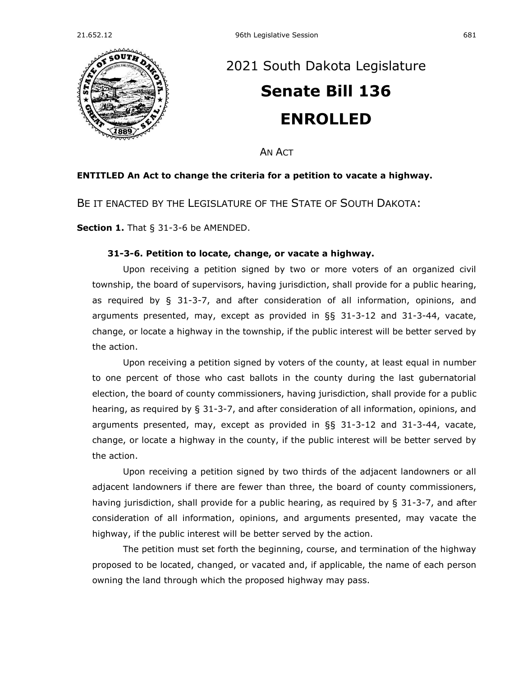

## [2021 South Dakota Legislature](https://sdlegislature.gov/Session/Bills/44) **[Senate Bill 136](https://sdlegislature.gov/Session/Bill/22372) ENROLLED**

AN ACT

## **ENTITLED An Act to change the criteria for a petition to vacate a highway.**

BE IT ENACTED BY THE LEGISLATURE OF THE STATE OF SOUTH DAKOTA:

**Section 1.** [That § 31-3-6 be AMENDED.](https://sdlegislature.gov/Statutes/Codified_Laws/2052553)

## **[31-3-6. P](https://sdlegislature.gov/Statutes/Codified_Laws/DisplayStatute.aspx?Type=Statute&Statute=31-3-6)etition to locate, change, or vacate a highway.**

Upon receiving a petition signed by two or more voters of an organized civil township, the board of supervisors, having jurisdiction, shall provide for a public hearing, as required by § [31-3-7,](https://sdlegislature.gov/Statutes/Codified_Laws/DisplayStatute.aspx?Type=Statute&Statute=31-3-7) and after consideration of all information, opinions, and arguments presented, may, except as provided in  $\S$ § [31-3-12](https://sdlegislature.gov/Statutes/Codified_Laws/DisplayStatute.aspx?Type=Statute&Statute=31-3-12) and [31-3-44,](https://sdlegislature.gov/Statutes/Codified_Laws/DisplayStatute.aspx?Type=Statute&Statute=31-3-44) vacate, change, or locate a highway in the township, if the public interest will be better served by the action.

Upon receiving a petition signed by voters of the county, at least equal in number to one percent of those who cast ballots in the county during the last gubernatorial election, the board of county commissioners, having jurisdiction, shall provide for a public hearing, as required by § [31-3-7,](https://sdlegislature.gov/Statutes/Codified_Laws/DisplayStatute.aspx?Type=Statute&Statute=31-3-7) and after consideration of all information, opinions, and arguments presented, may, except as provided in §§ [31-3-12](https://sdlegislature.gov/Statutes/Codified_Laws/DisplayStatute.aspx?Type=Statute&Statute=31-3-12) and [31-3-44,](https://sdlegislature.gov/Statutes/Codified_Laws/DisplayStatute.aspx?Type=Statute&Statute=31-3-44) vacate, change, or locate a highway in the county, if the public interest will be better served by the action.

Upon receiving a petition signed by two thirds of the adjacent landowners or all adjacent landowners if there are fewer than three, the board of county commissioners, having jurisdiction, shall provide for a public hearing, as required by § [31-3-7,](https://sdlegislature.gov/Statutes/Codified_Laws/DisplayStatute.aspx?Type=Statute&Statute=31-3-7) and after consideration of all information, opinions, and arguments presented, may vacate the highway, if the public interest will be better served by the action.

The petition must set forth the beginning, course, and termination of the highway proposed to be located, changed, or vacated and, if applicable, the name of each person owning the land through which the proposed highway may pass.